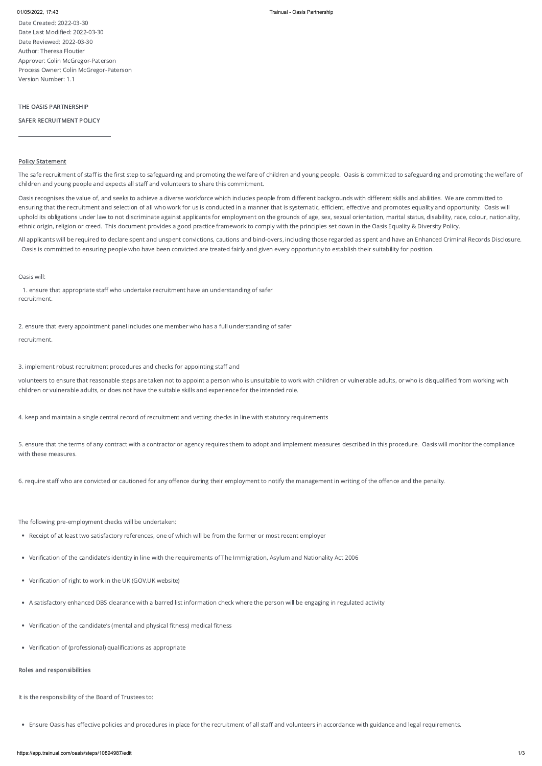Date Created: 2022-03-30 Date Last Modified: 2022-03-30 Date Reviewed: 2022-03-30 Author: Theresa Floutier Approver: Colin McGregor-Paterson Process Owner: Colin McGregor-Paterson Version Number: 1.1

# THE OASIS PARTNERSHIP

### SAFER RECRUITMENT POLICY

\_\_\_\_\_\_\_\_\_\_\_\_\_\_\_\_\_\_\_\_\_\_\_\_\_\_\_\_\_\_\_\_\_\_\_\_\_

# Policy Statement

The safe recruitment of staff is the first step to safeguarding and promoting the welfare of children and young people. Oasis is committed to safeguarding and promoting the welfare of children and young people and expects all staff and volunteers to share this commitment.

Oasis recognises the value of, and seeks to achieve a diverse workforce which includes people from different backgrounds with different skills and abilities. We are committed to ensuring that the recruitment and selection of all who work for us is conducted in a manner that is systematic, efficient, effective and promotes equality and opportunity. Oasis will uphold its obligations under law to not discriminate against applicants for employment on the grounds of age, sex, sexual orientation, marital status, disability, race, colour, nationality, ethnic origin, religion or creed. This document provides a good practice framework to comply with the principles set down in the Oasis Equality & Diversity Policy.

All applicants will be required to declare spent and unspent convictions, cautions and bind-overs, including those regarded as spent and have an Enhanced Criminal Records Disclosure. Oasis is committed to ensuring people who have been convicted are treated fairly and given every opportunity to establish their suitability for position.

### Oasis will:

1. ensure that appropriate staff who undertake recruitment have an understanding of safer recruitment.

2. ensure that every appointment panel includes one member who has a full understanding of safer recruitment.

3. implement robust recruitment procedures and checks for appointing staff and

volunteers to ensure that reasonable steps are taken not to appoint a person who is unsuitable to work with children or vulnerable adults, or who is disqualified from working with children or vulnerable adults, or does not have the suitable skills and experience for the intended role.

4. keep and maintain a single central record of recruitment and vetting checks in line with statutory requirements

5. ensure that the terms of any contract with a contractor or agency requires them to adopt and implement measures described in this procedure. Oasis will monitor the compliance with these measures.

6. require staff who are convicted or cautioned for any offence during their employment to notify the management in writing of the offence and the penalty.

The following pre-employment checks will be undertaken:

Receipt of at least two satisfactory references, one of which will be from the former or most recent employer

Verification of the candidate's identity in line with the requirements of The Immigration, Asylum and Nationality Act 2006

- Verification of right to work in the UK (GOV.UK website)
- A satisfactory enhanced DBS clearance with a barred list information check where the person will be engaging in regulated activity
- Verification of the candidate's (mental and physical fitness) medical fitness
- Verification of (professional) qualifications as appropriate

Roles and responsibilities

It is the responsibility of the Board of Trustees to:

Ensure Oasis has effective policies and procedures in place for the recruitment of all staff and volunteers in accordance with guidance and legal requirements.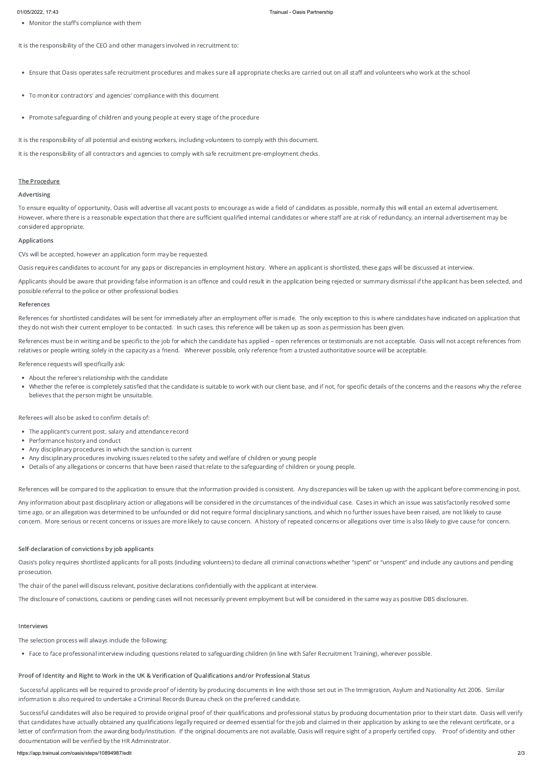Monitor the staff's compliance with them

It is the responsibility of the CEO and other managers involved in recruitment to:

- To monitor contractors' and agencies' compliance with this document
- Promote safeguarding of children and young people at every stage of the procedure

Ensure that Oasis operates safe recruitment procedures and makes sure all appropriate checks are carried out on all staff and volunteers who work at the school

It is the responsibility of all potential and existing workers, including volunteers to comply with this document.

It is the responsibility of all contractors and agencies to comply with safe recruitment pre-employment checks.

## The Procedure

## Advertising

Applicants should be aware that providing false information is an offence and could result in the application being rejected or summary dismissal if the applicant has been selected, and possible referral to the police or other professional bodies

To ensure equality of opportunity, Oasis will advertise all vacant posts to encourage as wide a field of candidates as possible, normally this will entail an external advertisement. However, where there is a reasonable expectation that there are sufficient qualified internal candidates or where staff are at risk of redundancy, an internal advertisement may be considered appropriate.

References for shortlisted candidates will be sent for immediately after an employment offer is made. The only exception to this is where candidates have indicated on application that they do not wish their current employer to be contacted. In such cases, this reference will be taken up as soon as permission has been given.

References must be in writing and be specific to the job for which the candidate has applied – open references or testimonials are not acceptable. Oasis will not accept references from relatives or people writing solely in the capacity as a friend. Wherever possible, only reference from a trusted authoritative source will be acceptable.

### Applications

CVs will be accepted, however an application form may be requested.

Oasis requires candidates to account for any gaps or discrepancies in employment history. Where an applicant is shortlisted, these gaps will be discussed at interview.

### References

Reference requests will specifically ask:

- About the referee's relationship with the candidate
- Whether the referee is completely satisfied that the candidate is suitable to work with our client base, and if not, for specific details of the concerns and the reasons why the referee believes that the person might be unsuitable.

Referees will also be asked to confirm details of:

- The applicant's current post, salary and attendance record
- Performance history and conduct
- Any disciplinary procedures in which the sanction is current
- Any disciplinary procedures involving issues related to the safety and welfare of children or young people
- Details of any allegations or concerns that have been raised that relate to the safeguarding of children or young people.

References will be compared to the application to ensure that the information provided is consistent. Any discrepancies will be taken up with the applicant before commencing in post.

Any information about past disciplinary action or allegations will be considered in the circumstances of the individual case. Cases in which an issue was satisfactorily resolved some time ago, or an allegation was determined to be unfounded or did not require formal disciplinary sanctions, and which no further issues have been raised, are not likely to cause concern. More serious or recent concerns or issues are more likely to cause concern. A history of repeated concerns or allegations over time is also likely to give cause for concern.

# Self-declaration of convictions by job applicants

Oasis's policy requires shortlisted applicants for all posts (including volunteers) to declare all criminal convictions whether "spent" or "unspent" and include any cautions and pending prosecution.

The chair of the panel will discuss relevant, positive declarations confidentially with the applicant at interview.

The disclosure of convictions, cautions or pending cases will not necessarily prevent employment but will be considered in the same way as positive DBS disclosures.

## Interviews

The selection process will always include the following:

Face to face professional interview including questions related to safeguarding children (in line with Safer Recruitment Training), wherever possible.

# Proof of Identity and Right to Work in the UK & Verification of Qualifications and/or Professional Status

Successful applicants will be required to provide proof of identity by producing documents in line with those set out in The Immigration, Asylum and Nationality Act 2006. Similar information is also required to undertake a Criminal Records Bureau check on the preferred candidate.

Successful candidates will also be required to provide original proof of their qualifications and professional status by producing documentation prior to their start date. Oasis will verify that candidates have actually obtained any qualifications legally required or deemed essential for the job and claimed in their application by asking to see the relevant certificate, or a letter of confirmation from the awarding body/institution. If the original documents are not available, Oasis will require sight of a properly certified copy. Proof of identity and other documentation will be verified by the HR Administrator.